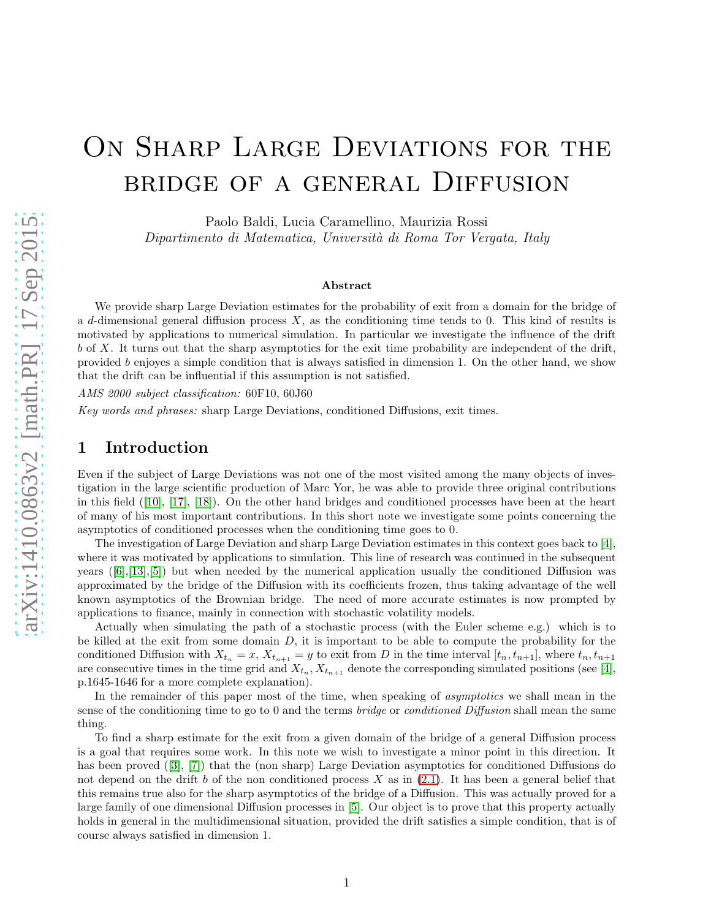# ON SHARP LARGE DEVIATIONS FOR THE bridge of a general Diffusion

Paolo Baldi, Lucia Caramellino, Maurizia Rossi

Dipartimento di Matematica, Universit`a di Roma Tor Vergata, Italy

#### Abstract

We provide sharp Large Deviation estimates for the probability of exit from a domain for the bridge of a d-dimensional general diffusion process  $X$ , as the conditioning time tends to 0. This kind of results is motivated by applications to numerical simulation. In particular we investigate the influence of the drift  $b$  of X. It turns out that the sharp asymptotics for the exit time probability are independent of the drift, provided b enjoyes a simple condition that is always satisfied in dimension 1. On the other hand, we show that the drift can be influential if this assumption is not satisfied.

AMS 2000 subject classification: 60F10, 60J60

<span id="page-0-0"></span>Key words and phrases: sharp Large Deviations, conditioned Diffusions, exit times.

## 1 Introduction

Even if the subject of Large Deviations was not one of the most visited among the many objects of investigation in the large scientific production of Marc Yor, he was able to provide three original contributions in this field([\[10\]](#page-9-0), [\[17\]](#page-9-1), [\[18\]](#page-9-2)). On the other hand bridges and conditioned processes have been at the heart of many of his most important contributions. In this short note we investigate some points concerning the asymptotics of conditioned processes when the conditioning time goes to 0.

The investigation of Large Deviation and sharp Large Deviation estimates in this context goes back to [\[4\]](#page-8-0), where it was motivated by applications to simulation. This line of research was continued in the subsequent years $([6], [13], [5])$  $([6], [13], [5])$  $([6], [13], [5])$  $([6], [13], [5])$  $([6], [13], [5])$  $([6], [13], [5])$  $([6], [13], [5])$  but when needed by the numerical application usually the conditioned Diffusion was approximated by the bridge of the Diffusion with its coefficients frozen, thus taking advantage of the well known asymptotics of the Brownian bridge. The need of more accurate estimates is now prompted by applications to finance, mainly in connection with stochastic volatility models.

Actually when simulating the path of a stochastic process (with the Euler scheme e.g.) which is to be killed at the exit from some domain  $D$ , it is important to be able to compute the probability for the conditioned Diffusion with  $X_{t_n} = x$ ,  $X_{t_{n+1}} = y$  to exit from D in the time interval  $[t_n, t_{n+1}]$ , where  $t_n, t_{n+1}$ are consecutive times in the time grid and  $X_{t_n}, X_{t_{n+1}}$  denote the corresponding simulated positions (see [\[4\]](#page-8-0), p.1645-1646 for a more complete explanation).

In the remainder of this paper most of the time, when speaking of *asymptotics* we shall mean in the sense of the conditioning time to go to 0 and the terms *bridge* or *conditioned Diffusion* shall mean the same thing.

To find a sharp estimate for the exit from a given domain of the bridge of a general Diffusion process is a goal that requires some work. In this note we wish to investigate a minor point in this direction. It hasbeen proved ([\[3\]](#page-8-3), [\[7\]](#page-9-4)) that the (non sharp) Large Deviation asymptotics for conditioned Diffusions do not depend on the drift b of the non conditioned process  $X$  as in [\(2.1\)](#page-1-0). It has been a general belief that this remains true also for the sharp asymptotics of the bridge of a Diffusion. This was actually proved for a large family of one dimensional Diffusion processes in [\[5\]](#page-8-2). Our object is to prove that this property actually holds in general in the multidimensional situation, provided the drift satisfies a simple condition, that is of course always satisfied in dimension 1.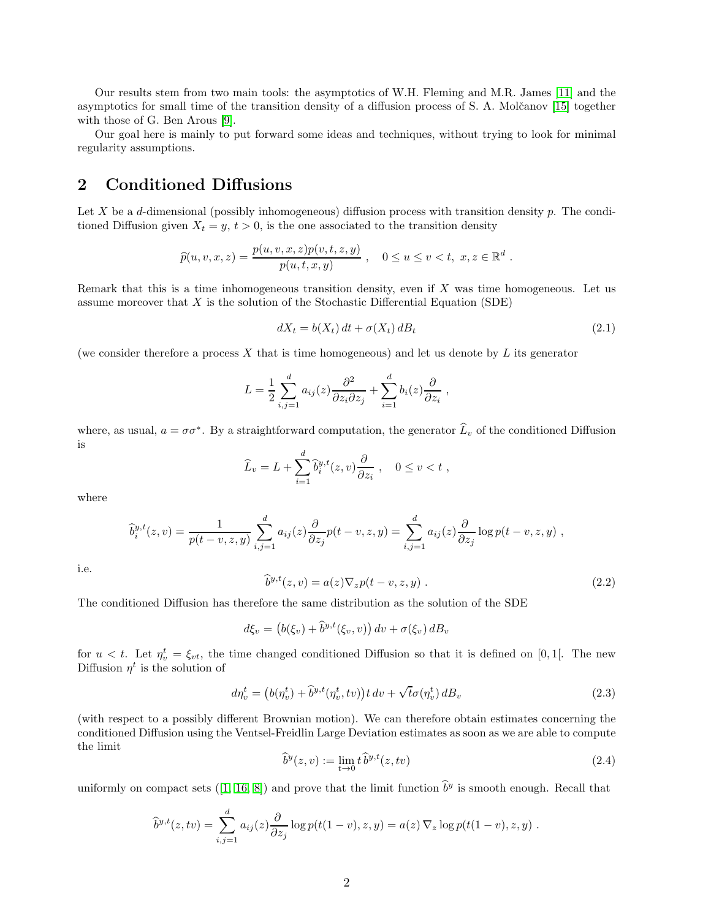Our results stem from two main tools: the asymptotics of W.H. Fleming and M.R. James [\[11\]](#page-9-5) and the asymptotics for small time of the transition density of a diffusion process of S. A. Molčanov [\[15\]](#page-9-6) together with those of G. Ben Arous [\[9\]](#page-9-7).

Our goal here is mainly to put forward some ideas and techniques, without trying to look for minimal regularity assumptions.

# <span id="page-1-2"></span>2 Conditioned Diffusions

Let X be a d-dimensional (possibly inhomogeneous) diffusion process with transition density p. The conditioned Diffusion given  $X_t = y$ ,  $t > 0$ , is the one associated to the transition density

$$
\widehat{p}(u, v, x, z) = \frac{p(u, v, x, z)p(v, t, z, y)}{p(u, t, x, y)}, \quad 0 \le u \le v < t, \ x, z \in \mathbb{R}^d.
$$

Remark that this is a time inhomogeneous transition density, even if  $X$  was time homogeneous. Let us assume moreover that  $X$  is the solution of the Stochastic Differential Equation (SDE)

<span id="page-1-0"></span>
$$
dX_t = b(X_t) dt + \sigma(X_t) dB_t
$$
\n(2.1)

(we consider therefore a process X that is time homogeneous) and let us denote by L its generator

$$
L = \frac{1}{2} \sum_{i,j=1}^d a_{ij}(z) \frac{\partial^2}{\partial z_i \partial z_j} + \sum_{i=1}^d b_i(z) \frac{\partial}{\partial z_i} ,
$$

where, as usual,  $a = \sigma \sigma^*$ . By a straightforward computation, the generator  $\hat{L}_v$  of the conditioned Diffusion is

$$
\widehat{L}_v = L + \sum_{i=1}^d \widehat{b}_i^{y,t}(z,v) \frac{\partial}{\partial z_i} , \quad 0 \le v < t ,
$$

where

$$
\widehat{b}_i^{y,t}(z,v) = \frac{1}{p(t-v,z,y)} \sum_{i,j=1}^d a_{ij}(z) \frac{\partial}{\partial z_j} p(t-v,z,y) = \sum_{i,j=1}^d a_{ij}(z) \frac{\partial}{\partial z_j} \log p(t-v,z,y) ,
$$

i.e.

$$
\widehat{b}^{y,t}(z,v) = a(z)\nabla_z p(t-v,z,y) . \qquad (2.2)
$$

The conditioned Diffusion has therefore the same distribution as the solution of the SDE

$$
d\xi_v = \left(b(\xi_v) + \widehat{b}^{y,t}(\xi_v, v)\right)dv + \sigma(\xi_v) dB_v
$$

for  $u < t$ . Let  $\eta_v^t = \xi_{vt}$ , the time changed conditioned Diffusion so that it is defined on [0,1]. The new Diffusion  $\eta^t$  is the solution of

<span id="page-1-1"></span>
$$
d\eta_v^t = \left(b(\eta_v^t) + \hat{b}^{y,t}(\eta_v^t, tv)\right)tdv + \sqrt{t}\sigma(\eta_v^t) dB_v
$$
\n(2.3)

(with respect to a possibly different Brownian motion). We can therefore obtain estimates concerning the conditioned Diffusion using the Ventsel-Freidlin Large Deviation estimates as soon as we are able to compute the limit

$$
\widehat{b}^y(z,v) := \lim_{t \to 0} t \widehat{b}^{y,t}(z,tv) \tag{2.4}
$$

uniformlyon compact sets ([\[1,](#page-8-4) [16,](#page-9-8) [8\]](#page-9-9)) and prove that the limit function  $\hat{b}^y$  is smooth enough. Recall that

$$
\widehat{b}^{y,t}(z,tv) = \sum_{i,j=1}^d a_{ij}(z) \frac{\partial}{\partial z_j} \log p(t(1-v),z,y) = a(z) \nabla_z \log p(t(1-v),z,y) .
$$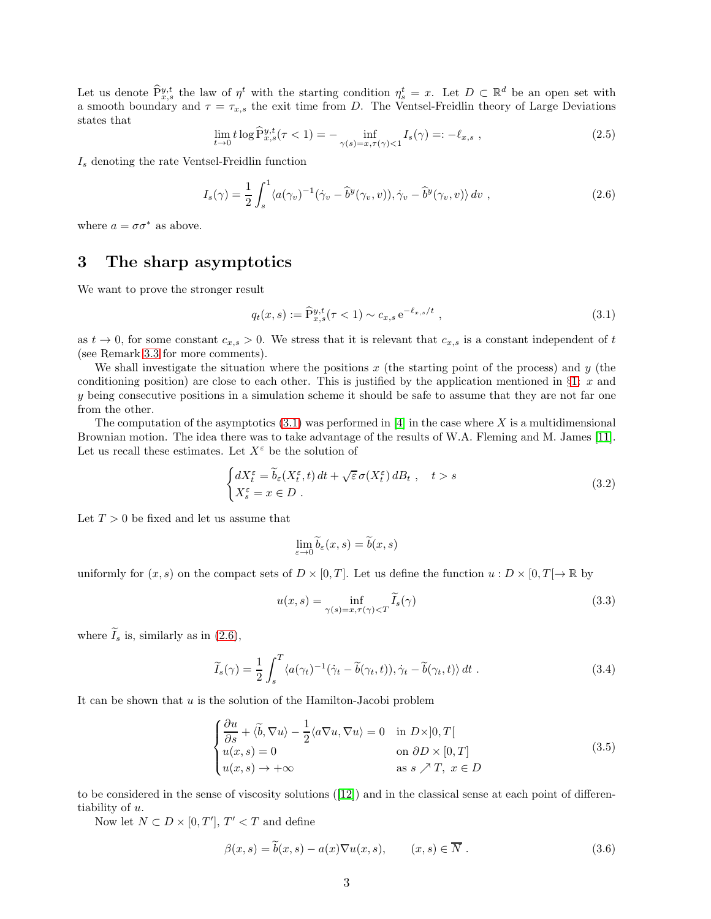Let us denote  $\widehat{P}_{x,s}^{y,t}$  the law of  $\eta^t$  with the starting condition  $\eta_s^t = x$ . Let  $D \subset \mathbb{R}^d$  be an open set with a smooth boundary and  $\tau = \tau_{x,s}$  the exit time from D. The Ventsel-Freidlin theory of Large Deviations states that

$$
\lim_{t \to 0} t \log \widehat{P}_{x,s}^{y,t}(\tau < 1) = - \inf_{\gamma(s) = x, \tau(\gamma) < 1} I_s(\gamma) =: -\ell_{x,s} , \qquad (2.5)
$$

 $I<sub>s</sub>$  denoting the rate Ventsel-Freidlin function

<span id="page-2-1"></span>
$$
I_s(\gamma) = \frac{1}{2} \int_s^1 \langle a(\gamma_v)^{-1} (\dot{\gamma}_v - \hat{b}^y(\gamma_v, v)), \dot{\gamma}_v - \hat{b}^y(\gamma_v, v) \rangle dv , \qquad (2.6)
$$

where  $a = \sigma \sigma^*$  as above.

# 3 The sharp asymptotics

We want to prove the stronger result

<span id="page-2-0"></span>
$$
q_t(x,s) := \widehat{P}_{x,s}^{y,t}(\tau < 1) \sim c_{x,s} e^{-\ell_{x,s}/t} , \qquad (3.1)
$$

as  $t \to 0$ , for some constant  $c_{x,s} > 0$ . We stress that it is relevant that  $c_{x,s}$  is a constant independent of t (see Remark [3.3](#page-3-0) for more comments).

We shall investigate the situation where the positions x (the starting point of the process) and y (the conditioning position) are close to each other. This is justified by the application mentioned in  $\S1: x$  $\S1: x$  $\S1: x$  and y being consecutive positions in a simulation scheme it should be safe to assume that they are not far one from the other.

The computation of the asymptotics  $(3.1)$  was performed in [\[4\]](#page-8-0) in the case where X is a multidimensional Brownian motion. The idea there was to take advantage of the results of W.A. Fleming and M. James [\[11\]](#page-9-5). Let us recall these estimates. Let  $X^{\varepsilon}$  be the solution of

<span id="page-2-2"></span>
$$
\begin{cases} dX_t^{\varepsilon} = \widetilde{b}_{\varepsilon}(X_t^{\varepsilon}, t) dt + \sqrt{\varepsilon} \sigma(X_t^{\varepsilon}) dB_t , \quad t > s \\ X_s^{\varepsilon} = x \in D . \end{cases}
$$
 (3.2)

Let  $T > 0$  be fixed and let us assume that

$$
\lim_{\varepsilon \to 0} \widetilde{b}_{\varepsilon}(x, s) = \widetilde{b}(x, s)
$$

uniformly for  $(x, s)$  on the compact sets of  $D \times [0, T]$ . Let us define the function  $u : D \times [0, T] \to \mathbb{R}$  by

<span id="page-2-3"></span>
$$
u(x,s) = \inf_{\gamma(s) = x, \tau(\gamma) < T} \widetilde{I}_s(\gamma) \tag{3.3}
$$

where  $\widetilde{I}_s$  is, similarly as in [\(2.6\)](#page-2-1),

$$
\widetilde{I}_s(\gamma) = \frac{1}{2} \int_s^T \langle a(\gamma_t)^{-1} (\dot{\gamma}_t - \widetilde{b}(\gamma_t, t)), \dot{\gamma}_t - \widetilde{b}(\gamma_t, t) \rangle dt . \tag{3.4}
$$

It can be shown that  $u$  is the solution of the Hamilton-Jacobi problem

<span id="page-2-4"></span>
$$
\begin{cases}\n\frac{\partial u}{\partial s} + \langle \tilde{b}, \nabla u \rangle - \frac{1}{2} \langle a \nabla u, \nabla u \rangle = 0 & \text{in } D \times ]0, T[ \\
u(x, s) = 0 & \text{on } \partial D \times [0, T] \\
u(x, s) \to +\infty & \text{as } s \nearrow T, x \in D\n\end{cases}
$$
\n(3.5)

to be considered in the sense of viscosity solutions([\[12\]](#page-9-10)) and in the classical sense at each point of differentiability of u.

Now let  $N \subset D \times [0, T'], T' < T$  and define

$$
\beta(x,s) = \tilde{b}(x,s) - a(x)\nabla u(x,s), \qquad (x,s) \in \overline{N} .
$$
\n(3.6)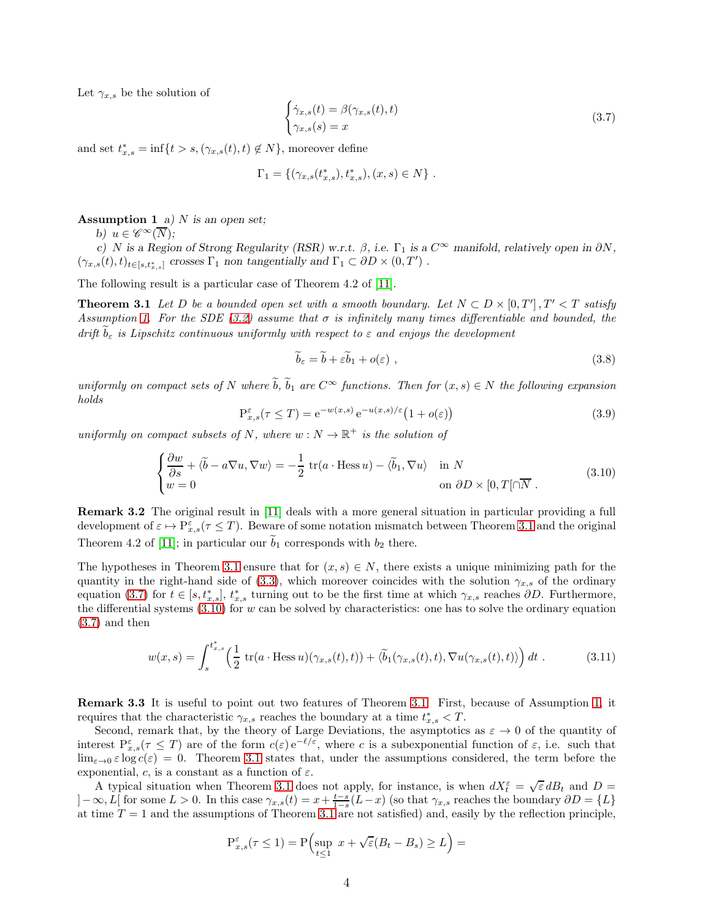Let  $\gamma_{x,s}$  be the solution of

<span id="page-3-3"></span>
$$
\begin{cases} \dot{\gamma}_{x,s}(t) = \beta(\gamma_{x,s}(t), t) \\ \gamma_{x,s}(s) = x \end{cases} \tag{3.7}
$$

and set  $t_{x,s}^* = \inf\{t > s, (\gamma_{x,s}(t), t) \notin N\}$ , moreover define

$$
\Gamma_1 = \{ (\gamma_{x,s}(t_{x,s}^*), t_{x,s}^*), (x,s) \in N \} .
$$

<span id="page-3-1"></span>**Assumption 1** a) N is an open set;

b)  $u \in \mathscr{C}^{\infty}(\overline{N});$ 

c) N is a Region of Strong Regularity (RSR) w.r.t.  $\beta$ , i.e.  $\Gamma_1$  is a  $C^{\infty}$  manifold, relatively open in  $\partial N$ ,  $(\gamma_{x,s}(t),t)_{t\in [s,t_{x,s}^*]}$  crosses  $\Gamma_1$  non tangentially and  $\Gamma_1\subset \partial D\times (0,T')$  .

The following result is a particular case of Theorem 4.2 of [\[11\]](#page-9-5).

**Theorem 3.1** Let D be a bounded open set with a smooth boundary. Let  $N \subset D \times [0, T']$ ,  $T' < T$  satisfy Assumption [1.](#page-3-1) For the SDE [\(3.2\)](#page-2-2) assume that  $\sigma$  is infinitely many times differentiable and bounded, the drift  $\tilde{b}_{\varepsilon}$  is Lipschitz continuous uniformly with respect to  $\varepsilon$  and enjoys the development

<span id="page-3-5"></span><span id="page-3-2"></span>
$$
\widetilde{b}_{\varepsilon} = \widetilde{b} + \varepsilon \widetilde{b}_1 + o(\varepsilon) \tag{3.8}
$$

uniformly on compact sets of N where  $\widetilde{b}$ ,  $\widetilde{b}_1$  are  $C^{\infty}$  functions. Then for  $(x, s) \in N$  the following expansion holds

<span id="page-3-7"></span>
$$
\mathbf{P}_{x,s}^{\varepsilon}(\tau \leq T) = \mathbf{e}^{-w(x,s)} \mathbf{e}^{-u(x,s)/\varepsilon} \left(1 + o(\varepsilon)\right)
$$
\n(3.9)

uniformly on compact subsets of N, where  $w : N \to \mathbb{R}^+$  is the solution of

<span id="page-3-4"></span>
$$
\begin{cases}\n\frac{\partial w}{\partial s} + \langle \tilde{b} - a \nabla u, \nabla w \rangle = -\frac{1}{2} \operatorname{tr}(a \cdot \operatorname{Hess} u) - \langle \tilde{b}_1, \nabla u \rangle & \text{in } N \\
w = 0 & \text{on } \partial D \times [0, T[\cap \overline{N}].\n\end{cases}
$$
\n(3.10)

Remark 3.2 The original result in [\[11\]](#page-9-5) deals with a more general situation in particular providing a full development of  $\varepsilon \mapsto \mathbb{P}_{x,s}^{\varepsilon}(\tau \leq T)$ . Beware of some notation mismatch between Theorem [3.1](#page-3-2) and the original Theorem 4.2 of [\[11\]](#page-9-5); in particular our  $b_1$  corresponds with  $b_2$  there.

The hypotheses in Theorem [3.1](#page-3-2) ensure that for  $(x, s) \in N$ , there exists a unique minimizing path for the quantity in the right-hand side of [\(3.3\)](#page-2-3), which moreover coincides with the solution  $\gamma_{x,s}$  of the ordinary equation [\(3.7\)](#page-3-3) for  $t \in [s, t_{x,s}^{\ast}], t_{x,s}^{\ast}$  turning out to be the first time at which  $\gamma_{x,s}$  reaches  $\partial D$ . Furthermore, the differential systems  $(3.10)$  for w can be solved by characteristics: one has to solve the ordinary equation [\(3.7\)](#page-3-3) and then

<span id="page-3-6"></span>
$$
w(x,s) = \int_s^{t_{x,s}^*} \left(\frac{1}{2} \operatorname{tr}(a \cdot \operatorname{Hess} u)(\gamma_{x,s}(t),t)) + \langle \widetilde{b}_1(\gamma_{x,s}(t),t), \nabla u(\gamma_{x,s}(t),t) \rangle \right) dt . \tag{3.11}
$$

<span id="page-3-0"></span>Remark 3.3 It is useful to point out two features of Theorem [3.1.](#page-3-2) First, because of Assumption [1,](#page-3-1) it requires that the characteristic  $\gamma_{x,s}$  reaches the boundary at a time  $t_{x,s}^* < T$ .

Second, remark that, by the theory of Large Deviations, the asymptotics as  $\varepsilon \to 0$  of the quantity of interest  $P_{x,s}^{\varepsilon}(\tau \leq T)$  are of the form  $c(\varepsilon) e^{-\ell/\varepsilon}$ , where c is a subexponential function of  $\varepsilon$ , i.e. such that  $\lim_{\varepsilon\to 0} \varepsilon \log c(\varepsilon) = 0$ . Theorem [3.1](#page-3-2) states that, under the assumptions considered, the term before the exponential, c, is a constant as a function of  $\varepsilon$ .

A typical situation when Theorem [3.1](#page-3-2) does not apply, for instance, is when  $dX_t^{\varepsilon} = \sqrt{\varepsilon} dB_t$  and  $D =$  $]-\infty,L[$  for some  $L>0$ . In this case  $\gamma_{x,s}(t)=x+\frac{t-s}{1-s}(L-x)$  (so that  $\gamma_{x,s}$  reaches the boundary  $\partial D=\{L\}$ at time  $T = 1$  and the assumptions of Theorem [3.1](#page-3-2) are not satisfied) and, easily by the reflection principle,

$$
\mathcal{P}_{x,s}^{\varepsilon}(\tau \le 1) = \mathcal{P}\Big(\sup_{t \le 1} x + \sqrt{\varepsilon}(B_t - B_s) \ge L\Big) =
$$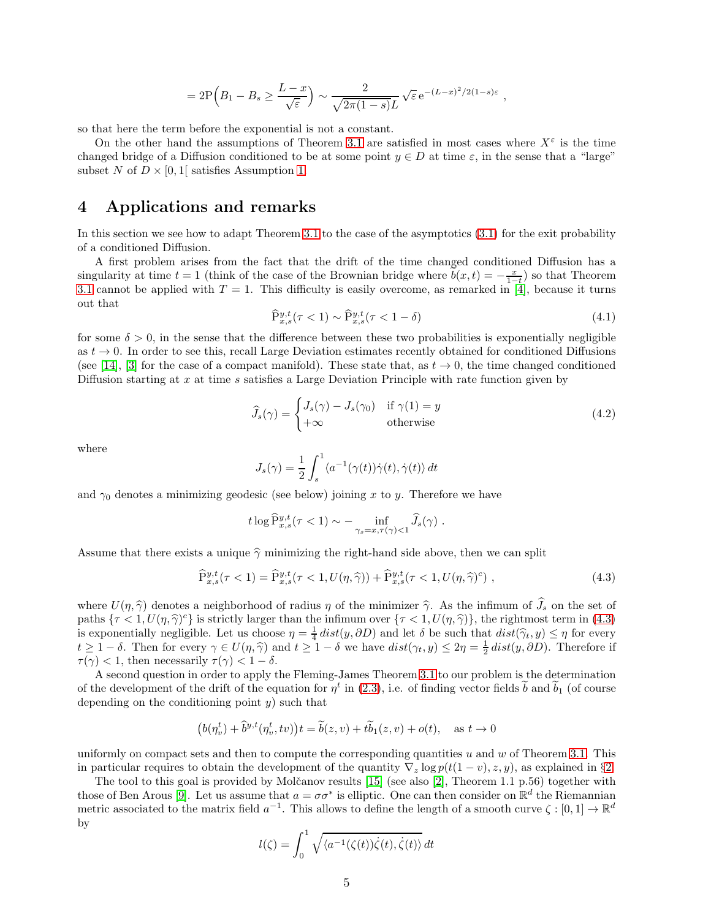$$
=2\mathrm{P}\Big(B_1-B_s\geq \frac{L-x}{\sqrt{\varepsilon}}\Big)\sim \frac{2}{\sqrt{2\pi(1-s)}L}\sqrt{\varepsilon}e^{-(L-x)^2/2(1-s)\varepsilon}\;,
$$

so that here the term before the exponential is not a constant.

On the other hand the assumptions of Theorem [3.1](#page-3-2) are satisfied in most cases where  $X^{\varepsilon}$  is the time changed bridge of a Diffusion conditioned to be at some point  $y \in D$  at time  $\varepsilon$ , in the sense that a "large" subset N of  $D \times [0,1]$  satisfies Assumption [1.](#page-3-1)

## 4 Applications and remarks

In this section we see how to adapt Theorem [3.1](#page-3-2) to the case of the asymptotics [\(3.1\)](#page-2-0) for the exit probability of a conditioned Diffusion.

A first problem arises from the fact that the drift of the time changed conditioned Diffusion has a singularity at time  $t = 1$  (think of the case of the Brownian bridge where  $\tilde{b}(x, t) = -\frac{x}{1-t}$ ) so that Theorem [3.1](#page-3-2) cannot be applied with  $T = 1$ . This difficulty is easily overcome, as remarked in [\[4\]](#page-8-0), because it turns out that

<span id="page-4-1"></span>
$$
\widehat{\mathbf{P}}_{x,s}^{y,t}(\tau < 1) \sim \widehat{\mathbf{P}}_{x,s}^{y,t}(\tau < 1 - \delta) \tag{4.1}
$$

for some  $\delta > 0$ , in the sense that the difference between these two probabilities is exponentially negligible as  $t \to 0$ . In order to see this, recall Large Deviation estimates recently obtained for conditioned Diffusions (see [\[14\]](#page-9-11), [\[3\]](#page-8-3) for the case of a compact manifold). These state that, as  $t \to 0$ , the time changed conditioned Diffusion starting at x at time s satisfies a Large Deviation Principle with rate function given by

<span id="page-4-2"></span>
$$
\widehat{J}_s(\gamma) = \begin{cases} J_s(\gamma) - J_s(\gamma_0) & \text{if } \gamma(1) = y \\ +\infty & \text{otherwise} \end{cases}
$$
\n(4.2)

where

$$
J_s(\gamma) = \frac{1}{2} \int_s^1 \langle a^{-1}(\gamma(t))\dot{\gamma}(t), \dot{\gamma}(t) \rangle dt
$$

and  $\gamma_0$  denotes a minimizing geodesic (see below) joining x to y. Therefore we have

$$
t \log \widehat{P}_{x,s}^{y,t}(\tau < 1) \sim - \inf_{\gamma_s = x, \tau(\gamma) < 1} \widehat{J}_s(\gamma) .
$$

Assume that there exists a unique  $\hat{\gamma}$  minimizing the right-hand side above, then we can split

<span id="page-4-0"></span>
$$
\widehat{P}_{x,s}^{y,t}(\tau < 1) = \widehat{P}_{x,s}^{y,t}(\tau < 1, U(\eta, \widehat{\gamma})) + \widehat{P}_{x,s}^{y,t}(\tau < 1, U(\eta, \widehat{\gamma})^c) \tag{4.3}
$$

where  $U(\eta, \hat{\gamma})$  denotes a neighborhood of radius  $\eta$  of the minimizer  $\hat{\gamma}$ . As the infimum of  $\hat{J}_s$  on the set of paths  $\{\tau < 1, U(\eta, \hat{\gamma})^c\}$  is strictly larger than the infimum over  $\{\tau < 1, U(\eta, \hat{\gamma})\}$ , the rightmost term in [\(4.3\)](#page-4-0) is exponentially negligible. Let us choose  $\eta = \frac{1}{4} dist(y, \partial D)$  and let  $\delta$  be such that  $dist(\hat{\gamma}_t, y) \leq \eta$  for every  $t \geq 1-\delta$ . Then for every  $\gamma \in U(\eta, \hat{\gamma})$  and  $t \geq 1-\delta$  we have  $dist(\gamma_t, y) \leq 2\eta = \frac{1}{2} dist(y, \partial D)$ . Therefore if  $\tau(\gamma) < 1$ , then necessarily  $\tau(\gamma) < 1 - \delta$ .

A second question in order to apply the Fleming-James Theorem [3.1](#page-3-2) to our problem is the determination of the development of the drift of the equation for  $\eta^t$  in [\(2.3\)](#page-1-1), i.e. of finding vector fields  $b$  and  $b_1$  (of course depending on the conditioning point  $y$ ) such that

$$
\big(b(\eta^t_v) + \widetilde{b}^{y,t}(\eta^t_v, tv)\big)t = \widetilde{b}(z, v) + t\widetilde{b}_1(z, v) + o(t), \quad \text{as } t \to 0
$$

uniformly on compact sets and then to compute the corresponding quantities  $u$  and  $w$  of Theorem [3.1.](#page-3-2) This in particular requires to obtain the development of the quantity  $\nabla_z \log p(t(1-v), z, y)$ , as explained in §[2.](#page-1-2)

The tool to this goal is provided by Molčanov results  $[15]$  (see also  $[2]$ , Theorem 1.1 p.56) together with those of Ben Arous [\[9\]](#page-9-7). Let us assume that  $a = \sigma \sigma^*$  is elliptic. One can then consider on  $\mathbb{R}^d$  the Riemannian metric associated to the matrix field  $a^{-1}$ . This allows to define the length of a smooth curve  $\zeta : [0,1] \to \mathbb{R}^d$ by

$$
l(\zeta) = \int_0^1 \sqrt{\langle a^{-1}(\zeta(t))\dot{\zeta}(t), \dot{\zeta}(t)\rangle} dt
$$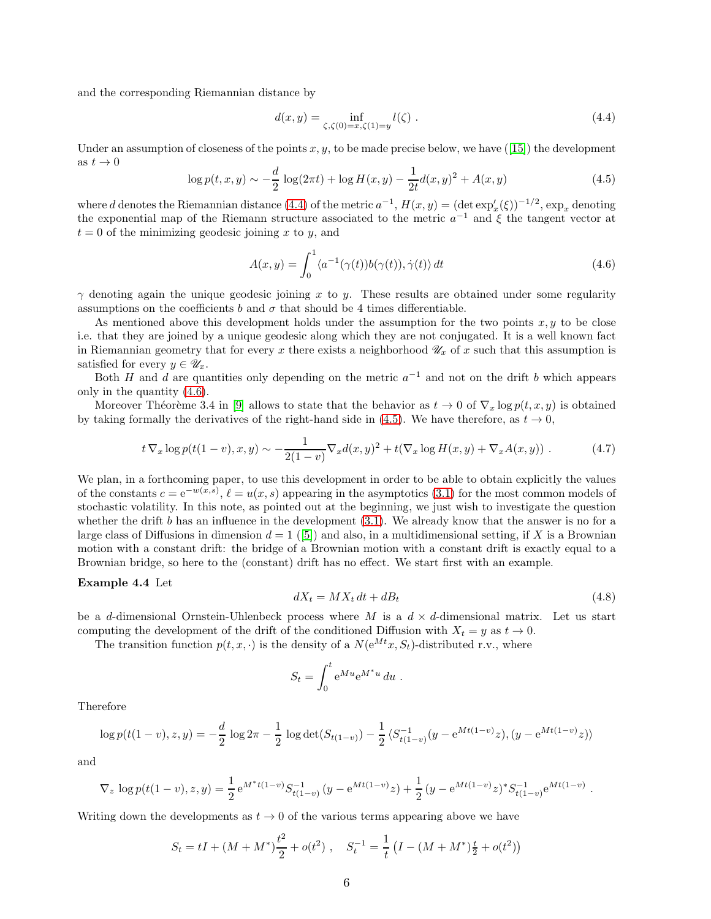and the corresponding Riemannian distance by

<span id="page-5-0"></span>
$$
d(x,y) = \inf_{\zeta,\zeta(0)=x,\zeta(1)=y} l(\zeta).
$$
 (4.4)

Underan assumption of closeness of the points  $x, y$ , to be made precise below, we have ([\[15\]](#page-9-6)) the development as  $t \to 0$ 

<span id="page-5-2"></span>
$$
\log p(t, x, y) \sim -\frac{d}{2} \log(2\pi t) + \log H(x, y) - \frac{1}{2t} d(x, y)^2 + A(x, y) \tag{4.5}
$$

where d denotes the Riemannian distance [\(4.4\)](#page-5-0) of the metric  $a^{-1}$ ,  $H(x, y) = (\det \exp_x'(\xi))^{-1/2}$ ,  $\exp_x$  denoting the exponential map of the Riemann structure associated to the metric  $a^{-1}$  and  $\xi$  the tangent vector at  $t = 0$  of the minimizing geodesic joining x to y, and

<span id="page-5-1"></span>
$$
A(x,y) = \int_0^1 \langle a^{-1}(\gamma(t))b(\gamma(t)), \dot{\gamma}(t) \rangle dt
$$
\n(4.6)

 $\gamma$  denoting again the unique geodesic joining x to y. These results are obtained under some regularity assumptions on the coefficients b and  $\sigma$  that should be 4 times differentiable.

As mentioned above this development holds under the assumption for the two points  $x, y$  to be close i.e. that they are joined by a unique geodesic along which they are not conjugated. It is a well known fact in Riemannian geometry that for every x there exists a neighborhood  $\mathscr{U}_x$  of x such that this assumption is satisfied for every  $y \in \mathscr{U}_x$ .

Both H and d are quantities only depending on the metric  $a^{-1}$  and not on the drift b which appears only in the quantity [\(4.6\)](#page-5-1).

Moreover Théorème 3.4 in [\[9\]](#page-9-7) allows to state that the behavior as  $t \to 0$  of  $\nabla_x \log p(t, x, y)$  is obtained by taking formally the derivatives of the right-hand side in [\(4.5\)](#page-5-2). We have therefore, as  $t \to 0$ ,

<span id="page-5-3"></span>
$$
t\nabla_x \log p(t(1-v), x, y) \sim -\frac{1}{2(1-v)} \nabla_x d(x, y)^2 + t(\nabla_x \log H(x, y) + \nabla_x A(x, y)) . \tag{4.7}
$$

We plan, in a forthcoming paper, to use this development in order to be able to obtain explicitly the values of the constants  $c = e^{-w(x,s)}$ ,  $\ell = u(x,s)$  appearing in the asymptotics [\(3.1\)](#page-2-0) for the most common models of stochastic volatility. In this note, as pointed out at the beginning, we just wish to investigate the question whether the drift  $b$  has an influence in the development  $(3.1)$ . We already know that the answer is no for a largeclass of Diffusions in dimension  $d = 1$  ([\[5\]](#page-8-2)) and also, in a multidimensional setting, if X is a Brownian motion with a constant drift: the bridge of a Brownian motion with a constant drift is exactly equal to a Brownian bridge, so here to the (constant) drift has no effect. We start first with an example.

#### Example 4.4 Let

<span id="page-5-4"></span>
$$
dX_t = MX_t dt + dB_t \t\t(4.8)
$$

be a d-dimensional Ornstein-Uhlenbeck process where M is a  $d \times d$ -dimensional matrix. Let us start computing the development of the drift of the conditioned Diffusion with  $X_t = y$  as  $t \to 0$ .

The transition function  $p(t, x, \cdot)$  is the density of a  $N(e^{Mt}x, S_t)$ -distributed r.v., where

$$
S_t = \int_0^t e^{Mu} e^{M^*u} du.
$$

Therefore

$$
\log p(t(1-v), z, y) = -\frac{d}{2} \log 2\pi - \frac{1}{2} \log \det(S_{t(1-v)}) - \frac{1}{2} \langle S_{t(1-v)}^{-1}(y - e^{Mt(1-v)}z), (y - e^{Mt(1-v)}z) \rangle
$$

and

$$
\nabla_z \log p(t(1-v), z, y) = \frac{1}{2} e^{M^* t(1-v)} S_{t(1-v)}^{-1} (y - e^{Mt(1-v)} z) + \frac{1}{2} (y - e^{Mt(1-v)} z)^* S_{t(1-v)}^{-1} e^{Mt(1-v)}.
$$

Writing down the developments as  $t \to 0$  of the various terms appearing above we have

$$
S_t = tI + (M + M^*)\frac{t^2}{2} + o(t^2) , \quad S_t^{-1} = \frac{1}{t} (I - (M + M^*)\frac{t}{2} + o(t^2))
$$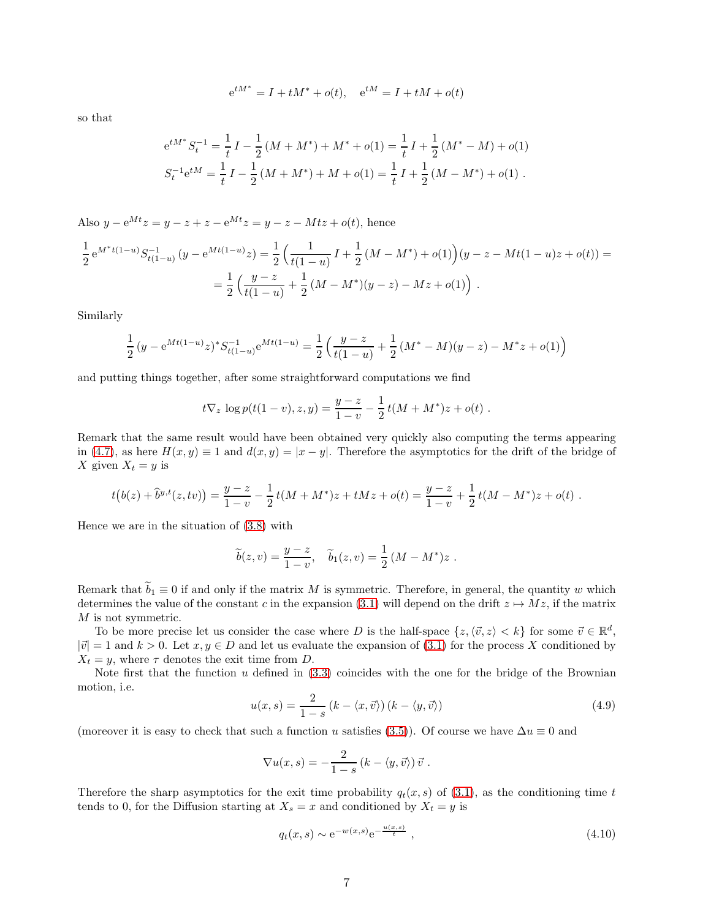$$
e^{tM^*} = I + tM^* + o(t)
$$
,  $e^{tM} = I + tM + o(t)$ 

so that

$$
e^{tM^*} S_t^{-1} = \frac{1}{t} I - \frac{1}{2} (M + M^*) + M^* + o(1) = \frac{1}{t} I + \frac{1}{2} (M^* - M) + o(1)
$$
  

$$
S_t^{-1} e^{tM} = \frac{1}{t} I - \frac{1}{2} (M + M^*) + M + o(1) = \frac{1}{t} I + \frac{1}{2} (M - M^*) + o(1) .
$$

Also  $y - e^{Mt}z = y - z + z - e^{Mt}z = y - z - Mtz + o(t)$ , hence

$$
\frac{1}{2}e^{M^*t(1-u)}S_{t(1-u)}^{-1}(y - e^{Mt(1-u)}z) = \frac{1}{2}\left(\frac{1}{t(1-u)}I + \frac{1}{2}(M - M^*) + o(1)\right)(y - z - Mt(1-u)z + o(t)) =
$$
  
= 
$$
\frac{1}{2}\left(\frac{y - z}{t(1-u)} + \frac{1}{2}(M - M^*)(y - z) - Mz + o(1)\right).
$$

Similarly

$$
\frac{1}{2}(y - e^{Mt(1-u)}z)^* S_{t(1-u)}^{-1} e^{Mt(1-u)} = \frac{1}{2} \left( \frac{y-z}{t(1-u)} + \frac{1}{2} (M^* - M)(y-z) - M^* z + o(1) \right)
$$

and putting things together, after some straightforward computations we find

$$
t\nabla_z \log p(t(1-v),z,y) = \frac{y-z}{1-v} - \frac{1}{2}t(M+M^*)z + o(t) .
$$

Remark that the same result would have been obtained very quickly also computing the terms appearing in [\(4.7\)](#page-5-3), as here  $H(x, y) \equiv 1$  and  $d(x, y) = |x - y|$ . Therefore the asymptotics for the drift of the bridge of X given  $X_t = y$  is

$$
t(b(z) + \widehat{b}^{y,t}(z, tv)) = \frac{y-z}{1-v} - \frac{1}{2}t(M + M^*)z + tMz + o(t) = \frac{y-z}{1-v} + \frac{1}{2}t(M - M^*)z + o(t) .
$$

Hence we are in the situation of [\(3.8\)](#page-3-5) with

$$
\widetilde{b}(z,v) = \frac{y-z}{1-v}, \quad \widetilde{b}_1(z,v) = \frac{1}{2} (M - M^*)z.
$$

Remark that  $b_1 \equiv 0$  if and only if the matrix M is symmetric. Therefore, in general, the quantity w which determines the value of the constant c in the expansion [\(3.1\)](#page-2-0) will depend on the drift  $z \mapsto Mz$ , if the matrix M is not symmetric.

To be more precise let us consider the case where D is the half-space  $\{z, \langle \vec{v}, z \rangle < k\}$  for some  $\vec{v} \in \mathbb{R}^d$ ,  $|\vec{v}| = 1$  and  $k > 0$ . Let  $x, y \in D$  and let us evaluate the expansion of [\(3.1\)](#page-2-0) for the process X conditioned by  $X_t = y$ , where  $\tau$  denotes the exit time from D.

Note first that the function  $u$  defined in  $(3.3)$  coincides with the one for the bridge of the Brownian motion, i.e.

$$
u(x,s) = \frac{2}{1-s} \left( k - \langle x, \vec{v} \rangle \right) \left( k - \langle y, \vec{v} \rangle \right) \tag{4.9}
$$

(moreover it is easy to check that such a function u satisfies [\(3.5\)](#page-2-4)). Of course we have  $\Delta u \equiv 0$  and

$$
\nabla u(x,s) = -\frac{2}{1-s} (k - \langle y, \vec{v} \rangle) \vec{v} .
$$

Therefore the sharp asymptotics for the exit time probability  $q_t(x, s)$  of [\(3.1\)](#page-2-0), as the conditioning time t tends to 0, for the Diffusion starting at  $X_s = x$  and conditioned by  $X_t = y$  is

$$
q_t(x, s) \sim e^{-w(x, s)} e^{-\frac{u(x, s)}{t}},
$$
 (4.10)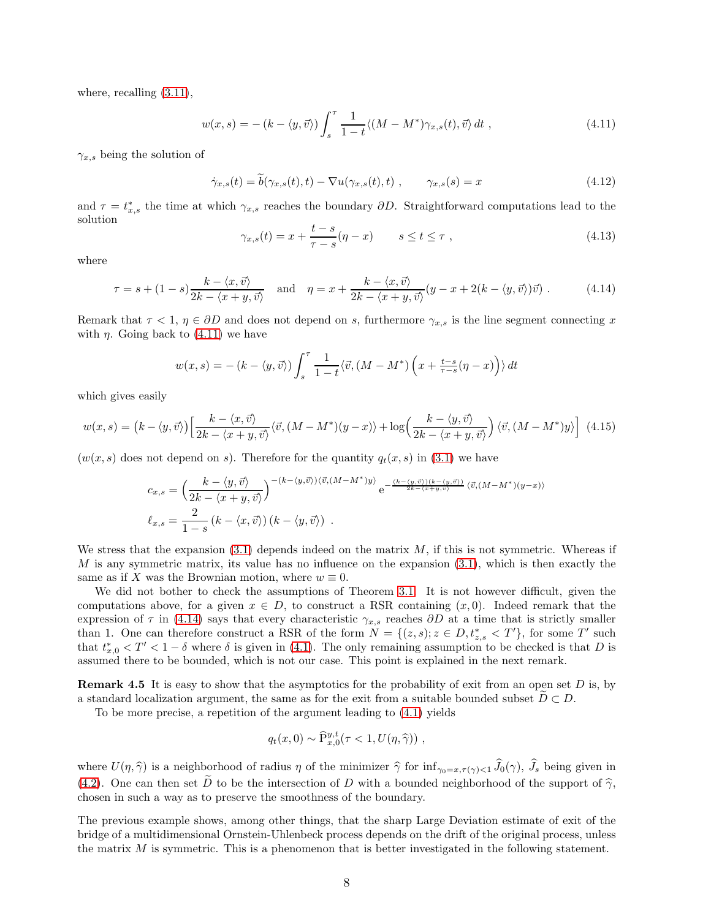where, recalling  $(3.11)$ ,

<span id="page-7-0"></span>
$$
w(x,s) = -(k - \langle y, \vec{v} \rangle) \int_s^\tau \frac{1}{1-t} \langle (M - M^*) \gamma_{x,s}(t), \vec{v} \rangle dt , \qquad (4.11)
$$

 $\gamma_{x,s}$  being the solution of

$$
\dot{\gamma}_{x,s}(t) = b(\gamma_{x,s}(t),t) - \nabla u(\gamma_{x,s}(t),t) , \qquad \gamma_{x,s}(s) = x
$$
\n(4.12)

and  $\tau = t_{x,s}^*$  the time at which  $\gamma_{x,s}$  reaches the boundary  $\partial D$ . Straightforward computations lead to the solution

$$
\gamma_{x,s}(t) = x + \frac{t-s}{\tau - s}(\eta - x) \qquad s \le t \le \tau \;, \tag{4.13}
$$

where

<span id="page-7-1"></span>
$$
\tau = s + (1 - s) \frac{k - \langle x, \vec{v} \rangle}{2k - \langle x + y, \vec{v} \rangle} \quad \text{and} \quad \eta = x + \frac{k - \langle x, \vec{v} \rangle}{2k - \langle x + y, \vec{v} \rangle} (y - x + 2(k - \langle y, \vec{v} \rangle) \vec{v}) \,. \tag{4.14}
$$

Remark that  $\tau < 1$ ,  $\eta \in \partial D$  and does not depend on s, furthermore  $\gamma_{x,s}$  is the line segment connecting x with  $\eta$ . Going back to [\(4.11\)](#page-7-0) we have

$$
w(x,s) = - (k - \langle y, \vec{v} \rangle) \int_s^{\tau} \frac{1}{1-t} \langle \vec{v}, (M - M^*) \left( x + \frac{t-s}{\tau - s} (\eta - x) \right) \rangle dt
$$

which gives easily

$$
w(x,s) = (k - \langle y,\vec{v}\rangle) \left[ \frac{k - \langle x,\vec{v}\rangle}{2k - \langle x+y,\vec{v}\rangle} \langle \vec{v}, (M - M^*) (y - x) \rangle + \log \left( \frac{k - \langle y,\vec{v}\rangle}{2k - \langle x+y,\vec{v}\rangle} \right) \langle \vec{v}, (M - M^*) y \rangle \right] \tag{4.15}
$$

 $(w(x, s)$  does not depend on s). Therefore for the quantity  $q_t(x, s)$  in [\(3.1\)](#page-2-0) we have

$$
c_{x,s} = \left(\frac{k-\langle y,\vec{v}\rangle}{2k-\langle x+y,\vec{v}\rangle}\right)^{-(k-\langle y,\vec{v}\rangle)\langle\vec{v},(M-M^*)y\rangle} e^{-\frac{(k-\langle y,\vec{v}\rangle)(k-\langle y,\vec{v}\rangle)}{2k-\langle x+y,\vec{v}\rangle}} \langle \vec{v},(M-M^*)(y-x)\rangle
$$
  

$$
\ell_{x,s} = \frac{2}{1-s} (k-\langle x,\vec{v}\rangle)(k-\langle y,\vec{v}\rangle).
$$

We stress that the expansion  $(3.1)$  depends indeed on the matrix M, if this is not symmetric. Whereas if M is any symmetric matrix, its value has no influence on the expansion  $(3.1)$ , which is then exactly the same as if X was the Brownian motion, where  $w \equiv 0$ .

We did not bother to check the assumptions of Theorem [3.1.](#page-3-2) It is not however difficult, given the computations above, for a given  $x \in D$ , to construct a RSR containing  $(x, 0)$ . Indeed remark that the expression of  $\tau$  in [\(4.14\)](#page-7-1) says that every characteristic  $\gamma_{x,s}$  reaches  $\partial D$  at a time that is strictly smaller than 1. One can therefore construct a RSR of the form  $N = \{(z, s); z \in D, t_{z,s}^* < T'\}$ , for some T' such that  $t_{x,0}^* < T' < 1 - \delta$  where  $\delta$  is given in [\(4.1\)](#page-4-1). The only remaining assumption to be checked is that D is assumed there to be bounded, which is not our case. This point is explained in the next remark.

**Remark 4.5** It is easy to show that the asymptotics for the probability of exit from an open set D is, by a standard localization argument, the same as for the exit from a suitable bounded subset  $D \subset D$ .

To be more precise, a repetition of the argument leading to [\(4.1\)](#page-4-1) yields

$$
q_t(x,0) \sim \widehat{\mathrm{P}}_{x,0}^{y,t}(\tau < 1, U(\eta, \widehat{\gamma})) \;,
$$

where  $U(\eta, \hat{\gamma})$  is a neighborhood of radius  $\eta$  of the minimizer  $\hat{\gamma}$  for inf<sub> $\gamma_0=x, \tau(\gamma) < 1$   $\hat{J}_0(\gamma)$ ,  $\hat{J}_s$  being given in</sub> [\(4.2\)](#page-4-2). One can then set  $\tilde{D}$  to be the intersection of D with a bounded neighborhood of the support of  $\tilde{\gamma}$ , chosen in such a way as to preserve the smoothness of the boundary.

The previous example shows, among other things, that the sharp Large Deviation estimate of exit of the bridge of a multidimensional Ornstein-Uhlenbeck process depends on the drift of the original process, unless the matrix  $M$  is symmetric. This is a phenomenon that is better investigated in the following statement.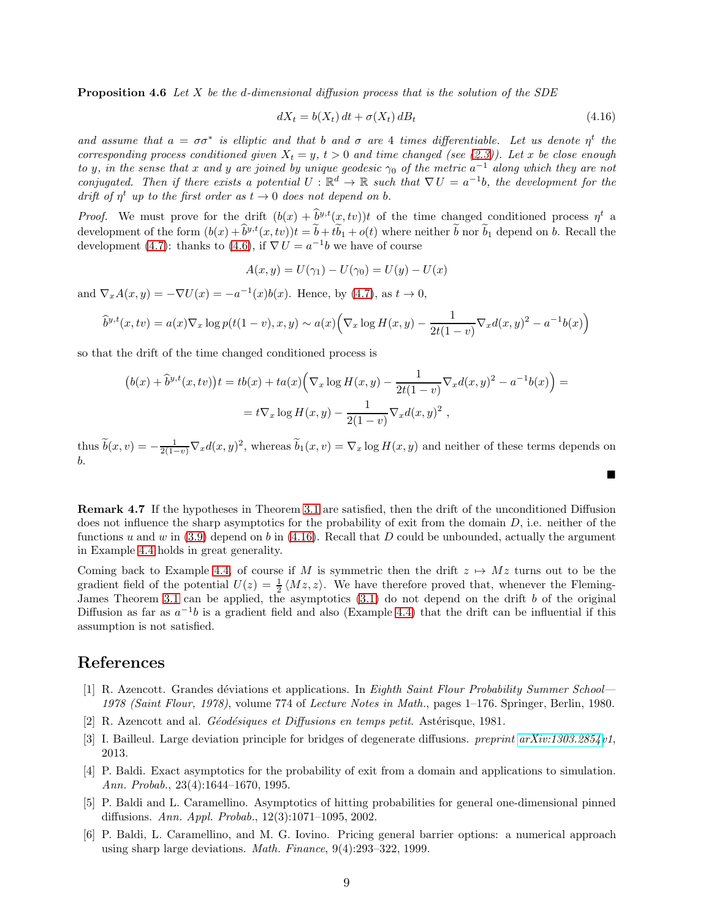**Proposition 4.6** Let X be the d-dimensional diffusion process that is the solution of the SDE

<span id="page-8-6"></span>
$$
dX_t = b(X_t) dt + \sigma(X_t) dB_t
$$
\n(4.16)

and assume that  $a = \sigma \sigma^*$  is elliptic and that b and  $\sigma$  are 4 times differentiable. Let us denote  $\eta^t$  the corresponding process conditioned given  $X_t = y$ ,  $t > 0$  and time changed (see [\(2.3\)](#page-1-1)). Let x be close enough to y, in the sense that x and y are joined by unique geodesic  $\gamma_0$  of the metric  $a^{-1}$  along which they are not conjugated. Then if there exists a potential  $U : \mathbb{R}^d \to \mathbb{R}$  such that  $\nabla U = a^{-1}b$ , the development for the drift of  $\eta^t$  up to the first order as  $t \to 0$  does not depend on b.

*Proof.* We must prove for the drift  $(b(x) + \tilde{b}^{y,t}(x,tv))t$  of the time changed conditioned process  $\eta^t$  a development of the form  $(b(x) + b^{y,t}(x, tv))t = b + tb_1 + o(t)$  where neither b nor  $b_1$  depend on b. Recall the development [\(4.7\)](#page-5-3): thanks to [\(4.6\)](#page-5-1), if  $\nabla U = a^{-1}b$  we have of course

$$
A(x, y) = U(\gamma_1) - U(\gamma_0) = U(y) - U(x)
$$

and  $\nabla_x A(x, y) = -\nabla U(x) = -a^{-1}(x)b(x)$ . Hence, by [\(4.7\)](#page-5-3), as  $t \to 0$ ,

$$
\hat{b}^{y,t}(x,tv) = a(x)\nabla_x \log p(t(1-v),x,y) \sim a(x) \Big( \nabla_x \log H(x,y) - \frac{1}{2t(1-v)} \nabla_x d(x,y)^2 - a^{-1}b(x) \Big)
$$

so that the drift of the time changed conditioned process is

$$
(b(x) + \hat{b}^{y,t}(x, tv))t = tb(x) + ta(x)\Big(\nabla_x \log H(x, y) - \frac{1}{2t(1 - v)}\nabla_x d(x, y)^2 - a^{-1}b(x)\Big) =
$$
  
=  $t\nabla_x \log H(x, y) - \frac{1}{2(1 - v)}\nabla_x d(x, y)^2$ ,

thus  $\tilde{b}(x, v) = -\frac{1}{2(1-v)} \nabla_x d(x, y)^2$ , whereas  $\tilde{b}_1(x, v) = \nabla_x \log H(x, y)$  and neither of these terms depends on b.  $\blacksquare$ 

Remark 4.7 If the hypotheses in Theorem [3.1](#page-3-2) are satisfied, then the drift of the unconditioned Diffusion does not influence the sharp asymptotics for the probability of exit from the domain  $D$ , i.e. neither of the functions u and w in  $(3.9)$  depend on b in  $(4.16)$ . Recall that D could be unbounded, actually the argument in Example [4.4](#page-5-4) holds in great generality.

Coming back to Example [4.4,](#page-5-4) of course if M is symmetric then the drift  $z \mapsto Mz$  turns out to be the gradient field of the potential  $U(z) = \frac{1}{2} \langle Mz, z \rangle$ . We have therefore proved that, whenever the Fleming-James Theorem [3.1](#page-3-2) can be applied, the asymptotics  $(3.1)$  do not depend on the drift b of the original Diffusion as far as  $a^{-1}b$  is a gradient field and also (Example [4.4\)](#page-5-4) that the drift can be influential if this assumption is not satisfied.

### <span id="page-8-4"></span>References

- [1] R. Azencott. Grandes déviations et applications. In Eighth Saint Flour Probability Summer School— 1978 (Saint Flour, 1978), volume 774 of Lecture Notes in Math., pages 1–176. Springer, Berlin, 1980.
- <span id="page-8-5"></span><span id="page-8-3"></span>[2] R. Azencott and al. *Géodésiques et Diffusions en temps petit*. Astérisque, 1981.
- <span id="page-8-0"></span>[3] I. Bailleul. Large deviation principle for bridges of degenerate diffusions. preprint [arXiv:1303.2854v](http://arxiv.org/abs/1303.2854)1, 2013.
- [4] P. Baldi. Exact asymptotics for the probability of exit from a domain and applications to simulation. Ann. Probab., 23(4):1644–1670, 1995.
- <span id="page-8-2"></span>[5] P. Baldi and L. Caramellino. Asymptotics of hitting probabilities for general one-dimensional pinned diffusions. Ann. Appl. Probab., 12(3):1071–1095, 2002.
- <span id="page-8-1"></span>[6] P. Baldi, L. Caramellino, and M. G. Iovino. Pricing general barrier options: a numerical approach using sharp large deviations. Math. Finance, 9(4):293–322, 1999.